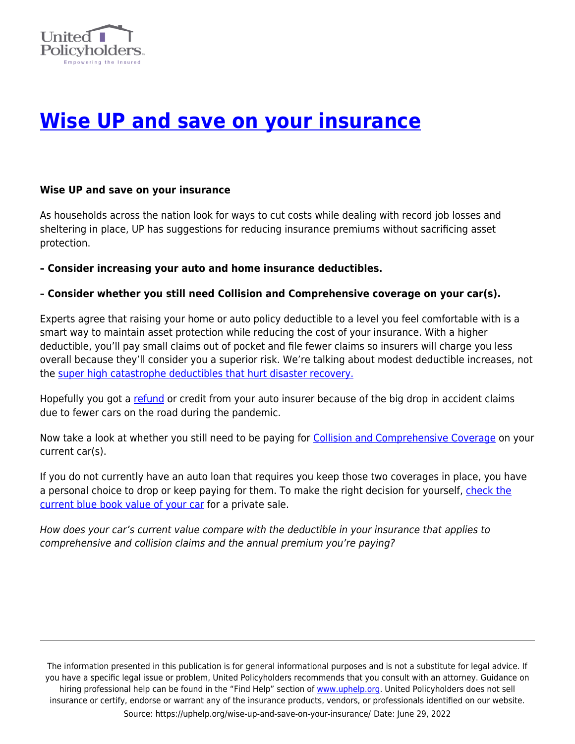

## **[Wise UP and save on your insurance](https://uphelp.org/wise-up-and-save-on-your-insurance/)**

## **Wise UP and save on your insurance**

As households across the nation look for ways to cut costs while dealing with record job losses and sheltering in place, UP has suggestions for reducing insurance premiums without sacrificing asset protection.

**– Consider increasing your auto and home insurance deductibles.**

## **– Consider whether you still need Collision and Comprehensive coverage on your car(s).**

Experts agree that raising your home or auto policy deductible to a level you feel comfortable with is a smart way to maintain asset protection while reducing the cost of your insurance. With a higher deductible, you'll pay small claims out of pocket and file fewer claims so insurers will charge you less overall because they'll consider you a superior risk. We're talking about modest deductible increases, not the [super high catastrophe deductibles that hurt disaster recovery.](https://uphelp.org/?s=Bach+Talk+-+It%27s+time+to+restore+insurance+safety+nets)

Hopefully you got a [refund](https://www.insurance.ca.gov/0250-insurers/0300-insurers/0200-bulletins/bulletin-notices-commiss-opinion/upload/Bulletin_2020-3_re_covid-19_premium_reductions-2.pdf) or credit from your auto insurer because of the big drop in accident claims due to fewer cars on the road during the pandemic.

Now take a look at whether you still need to be paying for [Collision and Comprehensive Coverage](https://www.forbes.com/advisor/car-insurance/drop-collision-comprehensive/) on your current car(s).

If you do not currently have an auto loan that requires you keep those two coverages in place, you have a personal choice to drop or keep paying for them. To make the right decision for yourself, [check the](https://www.kbb.com/whats-my-car-worth/?ico=kbbvalue) [current blue book value of your car](https://www.kbb.com/whats-my-car-worth/?ico=kbbvalue) for a private sale.

How does your car's current value compare with the deductible in your insurance that applies to comprehensive and collision claims and the annual premium you're paying?

The information presented in this publication is for general informational purposes and is not a substitute for legal advice. If you have a specific legal issue or problem, United Policyholders recommends that you consult with an attorney. Guidance on hiring professional help can be found in the "Find Help" section of [www.uphelp.org.](http://www.uphelp.org/) United Policyholders does not sell insurance or certify, endorse or warrant any of the insurance products, vendors, or professionals identified on our website. Source: https://uphelp.org/wise-up-and-save-on-your-insurance/ Date: June 29, 2022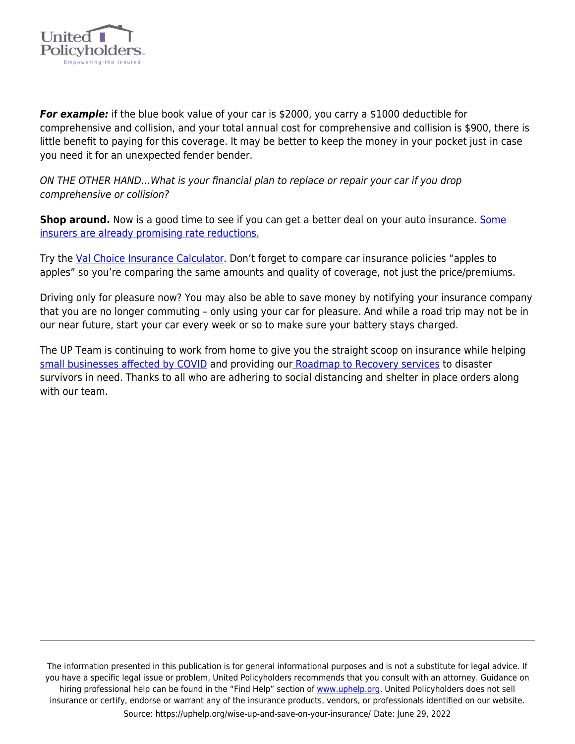

*For example:* if the blue book value of your car is \$2000, you carry a \$1000 deductible for comprehensive and collision, and your total annual cost for comprehensive and collision is \$900, there is little benefit to paying for this coverage. It may be better to keep the money in your pocket just in case you need it for an unexpected fender bender.

ON THE OTHER HAND…What is your financial plan to replace or repair your car if you drop comprehensive or collision?

**Shop around.** Now is a good time to see if you can get a better deal on your auto insurance. [Some](https://consumerfed.org/press_release/state-farms-11-rate-cut-highlights-urgent-need-for-action-by-state-insurance-commissioners/) [insurers are already promising rate reductions.](https://consumerfed.org/press_release/state-farms-11-rate-cut-highlights-urgent-need-for-action-by-state-insurance-commissioners/)

Try the [Val Choice Insurance Calculator](https://consumerfed.org/press_release/state-farms-11-rate-cut-highlights-urgent-need-for-action-by-state-insurance-commissioners/). Don't forget to compare car insurance policies "apples to apples" so you're comparing the same amounts and quality of coverage, not just the price/premiums.

Driving only for pleasure now? You may also be able to save money by notifying your insurance company that you are no longer commuting – only using your car for pleasure. And while a road trip may not be in our near future, start your car every week or so to make sure your battery stays charged.

The UP Team is continuing to work from home to give you the straight scoop on insurance while helping [small businesses affected by COVID](https://uphelp.org/recovery/covid-loss-recovery-initiative/) and providing our [Roadmap to Recovery services](https://uphelp.org/recovery/disaster-recovery-help/) to disaster survivors in need. Thanks to all who are adhering to social distancing and shelter in place orders along with our team.

The information presented in this publication is for general informational purposes and is not a substitute for legal advice. If you have a specific legal issue or problem, United Policyholders recommends that you consult with an attorney. Guidance on hiring professional help can be found in the "Find Help" section of [www.uphelp.org.](http://www.uphelp.org/) United Policyholders does not sell insurance or certify, endorse or warrant any of the insurance products, vendors, or professionals identified on our website. Source: https://uphelp.org/wise-up-and-save-on-your-insurance/ Date: June 29, 2022